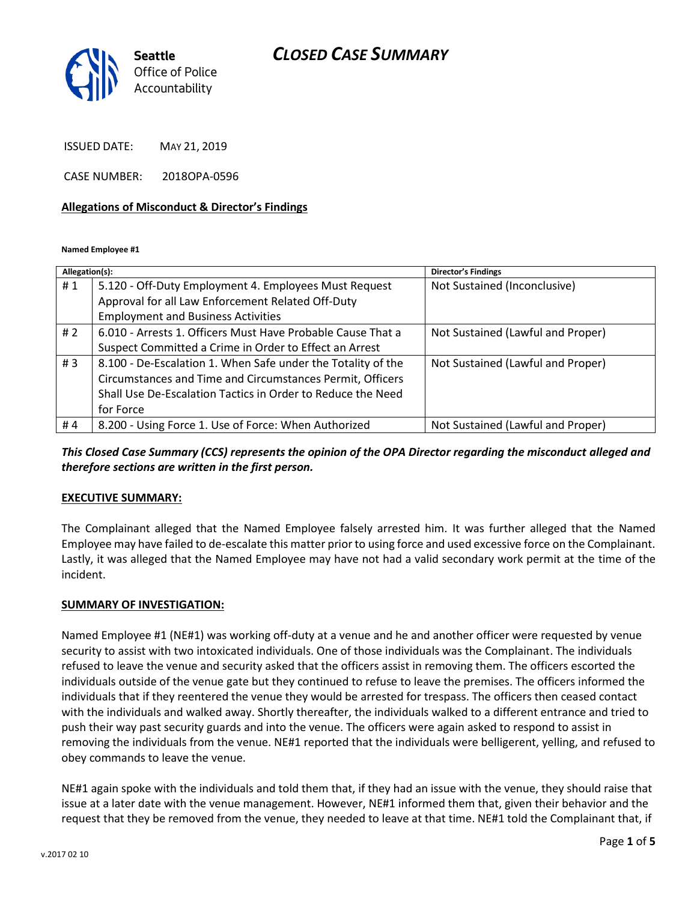## *CLOSED CASE SUMMARY*



ISSUED DATE: MAY 21, 2019

CASE NUMBER: 2018OPA-0596

#### **Allegations of Misconduct & Director's Findings**

**Named Employee #1**

| Allegation(s): |                                                              | <b>Director's Findings</b>        |
|----------------|--------------------------------------------------------------|-----------------------------------|
| #1             | 5.120 - Off-Duty Employment 4. Employees Must Request        | Not Sustained (Inconclusive)      |
|                | Approval for all Law Enforcement Related Off-Duty            |                                   |
|                | <b>Employment and Business Activities</b>                    |                                   |
| #2             | 6.010 - Arrests 1. Officers Must Have Probable Cause That a  | Not Sustained (Lawful and Proper) |
|                | Suspect Committed a Crime in Order to Effect an Arrest       |                                   |
| #3             | 8.100 - De-Escalation 1. When Safe under the Totality of the | Not Sustained (Lawful and Proper) |
|                | Circumstances and Time and Circumstances Permit, Officers    |                                   |
|                | Shall Use De-Escalation Tactics in Order to Reduce the Need  |                                   |
|                | for Force                                                    |                                   |
| #4             | 8.200 - Using Force 1. Use of Force: When Authorized         | Not Sustained (Lawful and Proper) |

*This Closed Case Summary (CCS) represents the opinion of the OPA Director regarding the misconduct alleged and therefore sections are written in the first person.* 

### **EXECUTIVE SUMMARY:**

The Complainant alleged that the Named Employee falsely arrested him. It was further alleged that the Named Employee may have failed to de-escalate this matter prior to using force and used excessive force on the Complainant. Lastly, it was alleged that the Named Employee may have not had a valid secondary work permit at the time of the incident.

### **SUMMARY OF INVESTIGATION:**

Named Employee #1 (NE#1) was working off-duty at a venue and he and another officer were requested by venue security to assist with two intoxicated individuals. One of those individuals was the Complainant. The individuals refused to leave the venue and security asked that the officers assist in removing them. The officers escorted the individuals outside of the venue gate but they continued to refuse to leave the premises. The officers informed the individuals that if they reentered the venue they would be arrested for trespass. The officers then ceased contact with the individuals and walked away. Shortly thereafter, the individuals walked to a different entrance and tried to push their way past security guards and into the venue. The officers were again asked to respond to assist in removing the individuals from the venue. NE#1 reported that the individuals were belligerent, yelling, and refused to obey commands to leave the venue.

NE#1 again spoke with the individuals and told them that, if they had an issue with the venue, they should raise that issue at a later date with the venue management. However, NE#1 informed them that, given their behavior and the request that they be removed from the venue, they needed to leave at that time. NE#1 told the Complainant that, if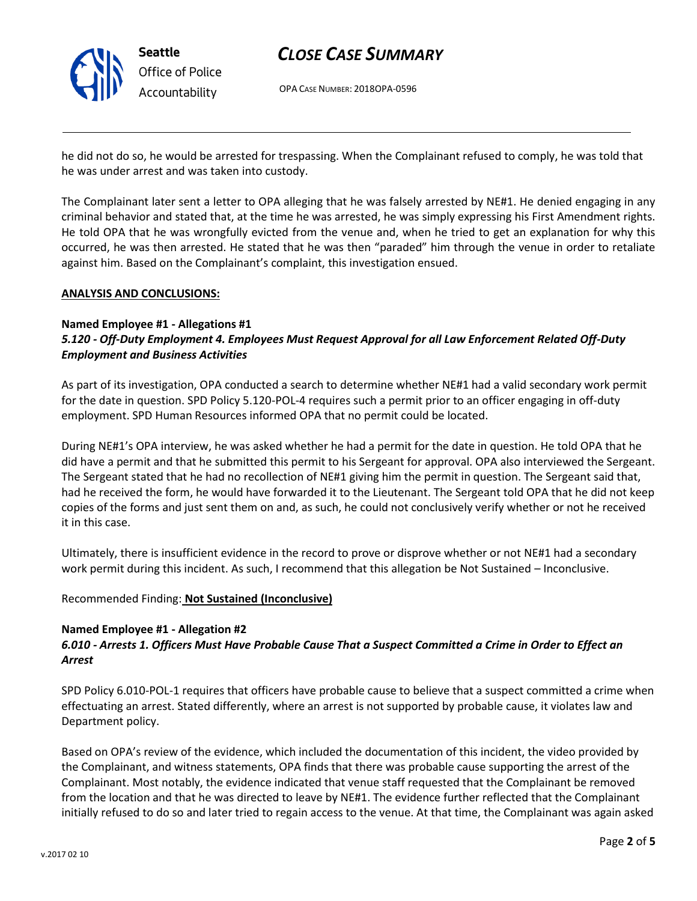

## *CLOSE CASE SUMMARY*

OPA CASE NUMBER: 2018OPA-0596

he did not do so, he would be arrested for trespassing. When the Complainant refused to comply, he was told that he was under arrest and was taken into custody.

The Complainant later sent a letter to OPA alleging that he was falsely arrested by NE#1. He denied engaging in any criminal behavior and stated that, at the time he was arrested, he was simply expressing his First Amendment rights. He told OPA that he was wrongfully evicted from the venue and, when he tried to get an explanation for why this occurred, he was then arrested. He stated that he was then "paraded" him through the venue in order to retaliate against him. Based on the Complainant's complaint, this investigation ensued.

### **ANALYSIS AND CONCLUSIONS:**

### **Named Employee #1 - Allegations #1** *5.120 - Off-Duty Employment 4. Employees Must Request Approval for all Law Enforcement Related Off-Duty Employment and Business Activities*

As part of its investigation, OPA conducted a search to determine whether NE#1 had a valid secondary work permit for the date in question. SPD Policy 5.120-POL-4 requires such a permit prior to an officer engaging in off-duty employment. SPD Human Resources informed OPA that no permit could be located.

During NE#1's OPA interview, he was asked whether he had a permit for the date in question. He told OPA that he did have a permit and that he submitted this permit to his Sergeant for approval. OPA also interviewed the Sergeant. The Sergeant stated that he had no recollection of NE#1 giving him the permit in question. The Sergeant said that, had he received the form, he would have forwarded it to the Lieutenant. The Sergeant told OPA that he did not keep copies of the forms and just sent them on and, as such, he could not conclusively verify whether or not he received it in this case.

Ultimately, there is insufficient evidence in the record to prove or disprove whether or not NE#1 had a secondary work permit during this incident. As such, I recommend that this allegation be Not Sustained – Inconclusive.

Recommended Finding: **Not Sustained (Inconclusive)**

### **Named Employee #1 - Allegation #2**

## *6.010 - Arrests 1. Officers Must Have Probable Cause That a Suspect Committed a Crime in Order to Effect an Arrest*

SPD Policy 6.010-POL-1 requires that officers have probable cause to believe that a suspect committed a crime when effectuating an arrest. Stated differently, where an arrest is not supported by probable cause, it violates law and Department policy.

Based on OPA's review of the evidence, which included the documentation of this incident, the video provided by the Complainant, and witness statements, OPA finds that there was probable cause supporting the arrest of the Complainant. Most notably, the evidence indicated that venue staff requested that the Complainant be removed from the location and that he was directed to leave by NE#1. The evidence further reflected that the Complainant initially refused to do so and later tried to regain access to the venue. At that time, the Complainant was again asked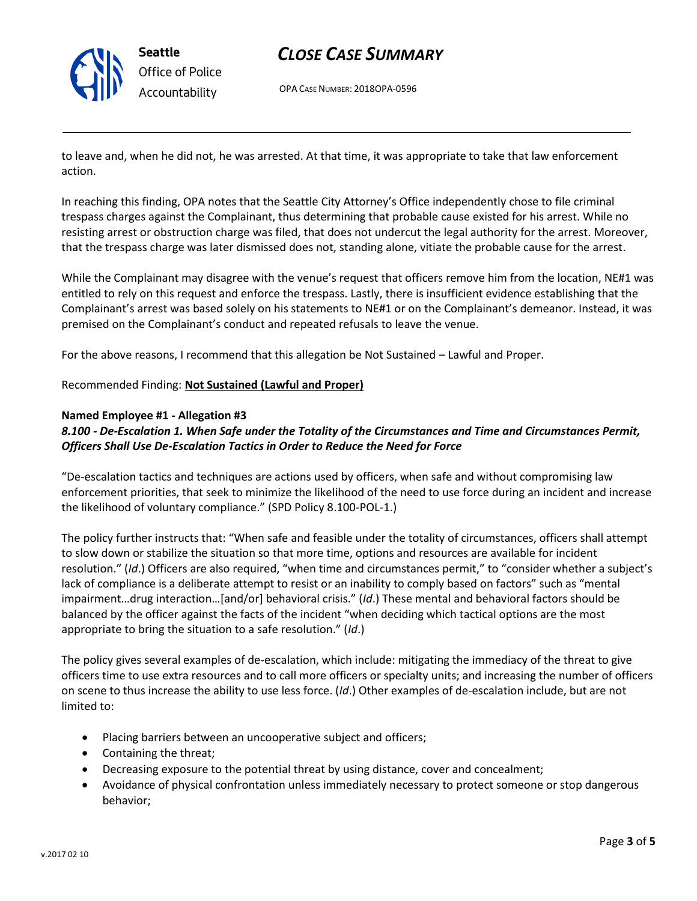

## *CLOSE CASE SUMMARY*

OPA CASE NUMBER: 2018OPA-0596

to leave and, when he did not, he was arrested. At that time, it was appropriate to take that law enforcement action.

In reaching this finding, OPA notes that the Seattle City Attorney's Office independently chose to file criminal trespass charges against the Complainant, thus determining that probable cause existed for his arrest. While no resisting arrest or obstruction charge was filed, that does not undercut the legal authority for the arrest. Moreover, that the trespass charge was later dismissed does not, standing alone, vitiate the probable cause for the arrest.

While the Complainant may disagree with the venue's request that officers remove him from the location, NE#1 was entitled to rely on this request and enforce the trespass. Lastly, there is insufficient evidence establishing that the Complainant's arrest was based solely on his statements to NE#1 or on the Complainant's demeanor. Instead, it was premised on the Complainant's conduct and repeated refusals to leave the venue.

For the above reasons, I recommend that this allegation be Not Sustained – Lawful and Proper.

## Recommended Finding: **Not Sustained (Lawful and Proper)**

### **Named Employee #1 - Allegation #3**

## *8.100 - De-Escalation 1. When Safe under the Totality of the Circumstances and Time and Circumstances Permit, Officers Shall Use De-Escalation Tactics in Order to Reduce the Need for Force*

"De-escalation tactics and techniques are actions used by officers, when safe and without compromising law enforcement priorities, that seek to minimize the likelihood of the need to use force during an incident and increase the likelihood of voluntary compliance." (SPD Policy 8.100-POL-1.)

The policy further instructs that: "When safe and feasible under the totality of circumstances, officers shall attempt to slow down or stabilize the situation so that more time, options and resources are available for incident resolution." (*Id*.) Officers are also required, "when time and circumstances permit," to "consider whether a subject's lack of compliance is a deliberate attempt to resist or an inability to comply based on factors" such as "mental impairment…drug interaction…[and/or] behavioral crisis." (*Id*.) These mental and behavioral factors should be balanced by the officer against the facts of the incident "when deciding which tactical options are the most appropriate to bring the situation to a safe resolution." (*Id*.)

The policy gives several examples of de-escalation, which include: mitigating the immediacy of the threat to give officers time to use extra resources and to call more officers or specialty units; and increasing the number of officers on scene to thus increase the ability to use less force. (*Id*.) Other examples of de-escalation include, but are not limited to:

- Placing barriers between an uncooperative subject and officers;
- Containing the threat;
- Decreasing exposure to the potential threat by using distance, cover and concealment;
- Avoidance of physical confrontation unless immediately necessary to protect someone or stop dangerous behavior;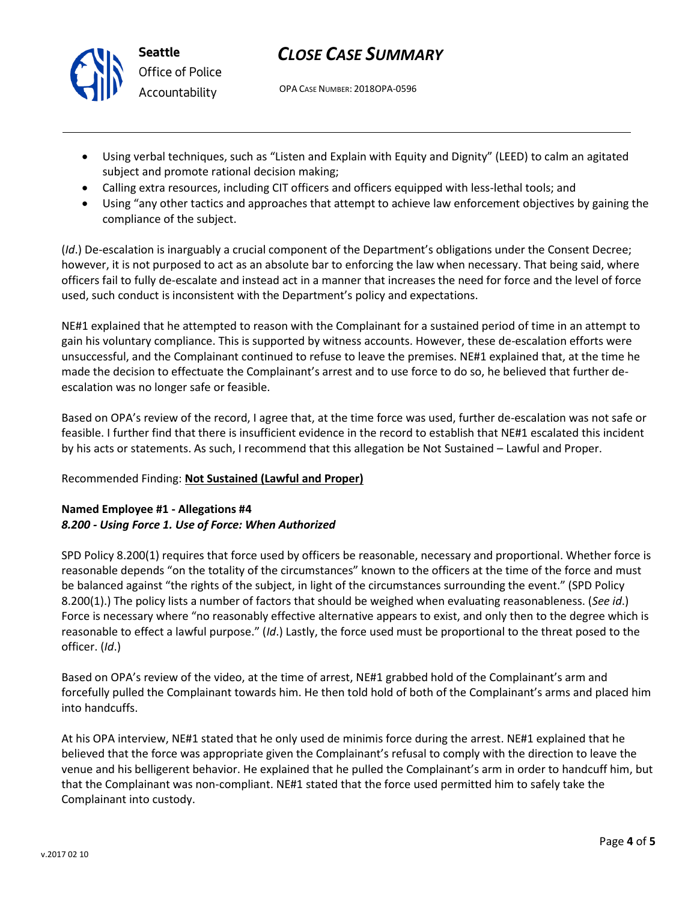

# *CLOSE CASE SUMMARY*

OPA CASE NUMBER: 2018OPA-0596

- Using verbal techniques, such as "Listen and Explain with Equity and Dignity" (LEED) to calm an agitated subject and promote rational decision making;
- Calling extra resources, including CIT officers and officers equipped with less-lethal tools; and
- Using "any other tactics and approaches that attempt to achieve law enforcement objectives by gaining the compliance of the subject.

(*Id*.) De-escalation is inarguably a crucial component of the Department's obligations under the Consent Decree; however, it is not purposed to act as an absolute bar to enforcing the law when necessary. That being said, where officers fail to fully de-escalate and instead act in a manner that increases the need for force and the level of force used, such conduct is inconsistent with the Department's policy and expectations.

NE#1 explained that he attempted to reason with the Complainant for a sustained period of time in an attempt to gain his voluntary compliance. This is supported by witness accounts. However, these de-escalation efforts were unsuccessful, and the Complainant continued to refuse to leave the premises. NE#1 explained that, at the time he made the decision to effectuate the Complainant's arrest and to use force to do so, he believed that further deescalation was no longer safe or feasible.

Based on OPA's review of the record, I agree that, at the time force was used, further de-escalation was not safe or feasible. I further find that there is insufficient evidence in the record to establish that NE#1 escalated this incident by his acts or statements. As such, I recommend that this allegation be Not Sustained – Lawful and Proper.

## Recommended Finding: **Not Sustained (Lawful and Proper)**

## **Named Employee #1 - Allegations #4** *8.200 - Using Force 1. Use of Force: When Authorized*

SPD Policy 8.200(1) requires that force used by officers be reasonable, necessary and proportional. Whether force is reasonable depends "on the totality of the circumstances" known to the officers at the time of the force and must be balanced against "the rights of the subject, in light of the circumstances surrounding the event." (SPD Policy 8.200(1).) The policy lists a number of factors that should be weighed when evaluating reasonableness. (*See id*.) Force is necessary where "no reasonably effective alternative appears to exist, and only then to the degree which is reasonable to effect a lawful purpose." (*Id*.) Lastly, the force used must be proportional to the threat posed to the officer. (*Id*.)

Based on OPA's review of the video, at the time of arrest, NE#1 grabbed hold of the Complainant's arm and forcefully pulled the Complainant towards him. He then told hold of both of the Complainant's arms and placed him into handcuffs.

At his OPA interview, NE#1 stated that he only used de minimis force during the arrest. NE#1 explained that he believed that the force was appropriate given the Complainant's refusal to comply with the direction to leave the venue and his belligerent behavior. He explained that he pulled the Complainant's arm in order to handcuff him, but that the Complainant was non-compliant. NE#1 stated that the force used permitted him to safely take the Complainant into custody.